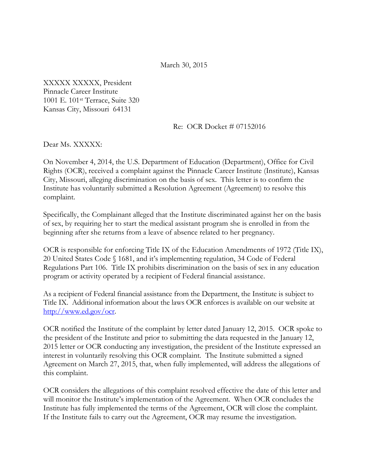March 30, 2015

XXXXX XXXXX, President Pinnacle Career Institute 1001 E. 101st Terrace, Suite 320 Kansas City, Missouri 64131

Re: OCR Docket # 07152016

Dear Ms. XXXXX:

On November 4, 2014, the U.S. Department of Education (Department), Office for Civil Rights (OCR), received a complaint against the Pinnacle Career Institute (Institute), Kansas City, Missouri, alleging discrimination on the basis of sex. This letter is to confirm the Institute has voluntarily submitted a Resolution Agreement (Agreement) to resolve this complaint.

Specifically, the Complainant alleged that the Institute discriminated against her on the basis of sex, by requiring her to start the medical assistant program she is enrolled in from the beginning after she returns from a leave of absence related to her pregnancy.

OCR is responsible for enforcing Title IX of the Education Amendments of 1972 (Title IX), 20 United States Code § 1681, and it's implementing regulation, 34 Code of Federal Regulations Part 106. Title IX prohibits discrimination on the basis of sex in any education program or activity operated by a recipient of Federal financial assistance.

As a recipient of Federal financial assistance from the Department, the Institute is subject to Title IX. Additional information about the laws OCR enforces is available on our website at [http://www.ed.gov/ocr.](http://www.ed.gov/ocr)

OCR notified the Institute of the complaint by letter dated January 12, 2015. OCR spoke to the president of the Institute and prior to submitting the data requested in the January 12, 2015 letter or OCR conducting any investigation, the president of the Institute expressed an interest in voluntarily resolving this OCR complaint*.* The Institute submitted a signed Agreement on March 27, 2015, that, when fully implemented, will address the allegations of this complaint.

OCR considers the allegations of this complaint resolved effective the date of this letter and will monitor the Institute's implementation of the Agreement. When OCR concludes the Institute has fully implemented the terms of the Agreement, OCR will close the complaint. If the Institute fails to carry out the Agreement, OCR may resume the investigation.